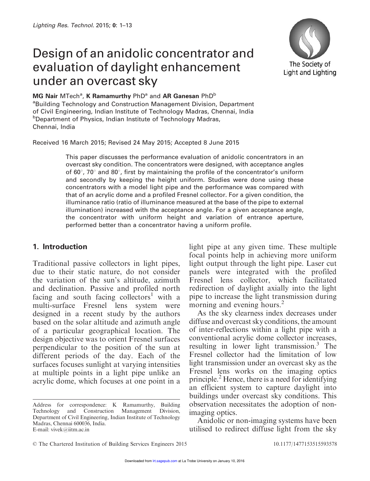# Design of an anidolic concentrator and evaluation of daylight enhancement under an overcast sky



#### $MG$  Nair MTech<sup>a</sup>, K Ramamurthy PhD<sup>a</sup> and AR Ganesan PhD<sup>b</sup>

<sup>a</sup>Building Technology and Construction Management Division, Department of Civil Engineering, Indian Institute of Technology Madras, Chennai, India **bDepartment of Physics, Indian Institute of Technology Madras,** Chennai, India

Received 16 March 2015; Revised 24 May 2015; Accepted 8 June 2015

This paper discusses the performance evaluation of anidolic concentrators in an overcast sky condition. The concentrators were designed, with acceptance angles of 60 $^{\circ}$ , 70 $^{\circ}$  and 80 $^{\circ}$ , first by maintaining the profile of the concentrator's uniform and secondly by keeping the height uniform. Studies were done using these concentrators with a model light pipe and the performance was compared with that of an acrylic dome and a profiled Fresnel collector. For a given condition, the illuminance ratio (ratio of illuminance measured at the base of the pipe to external illumination) increased with the acceptance angle. For a given acceptance angle, the concentrator with uniform height and variation of entrance aperture, performed better than a concentrator having a uniform profile.

## 1. Introduction

Traditional passive collectors in light pipes, due to their static nature, do not consider the variation of the sun's altitude, azimuth and declination. Passive and profiled north facing and south facing collectors<sup>1</sup> with a multi-surface Fresnel lens system were designed in a recent study by the authors based on the solar altitude and azimuth angle of a particular geographical location. The design objective was to orient Fresnel surfaces perpendicular to the position of the sun at different periods of the day. Each of the surfaces focuses sunlight at varying intensities at multiple points in a light pipe unlike an acrylic dome, which focuses at one point in a

light pipe at any given time. These multiple focal points help in achieving more uniform light output through the light pipe. Laser cut panels were integrated with the profiled Fresnel lens collector, which facilitated redirection of daylight axially into the light pipe to increase the light transmission during morning and evening hours.<sup>2</sup>

As the sky clearness index decreases under diffuse and overcast sky conditions, the amount of inter-reflections within a light pipe with a conventional acrylic dome collector increases, resulting in lower light transmission.<sup>3</sup> The Fresnel collector had the limitation of low light transmission under an overcast sky as the Fresnel lens works on the imaging optics principle.<sup>2</sup> Hence, there is a need for identifying an efficient system to capture daylight into buildings under overcast sky conditions. This observation necessitates the adoption of nonimaging optics.

Anidolic or non-imaging systems have been utilised to redirect diffuse light from the sky

Address for correspondence: K Ramamurthy, Building Technology and Construction Management Division, Department of Civil Engineering, Indian Institute of Technology Madras, Chennai 600036, India. E-mail: vivek@iitm.ac.in

<sup>©</sup> The Chartered Institution of Building Services Engineers 2015 10.1177/1477153515593578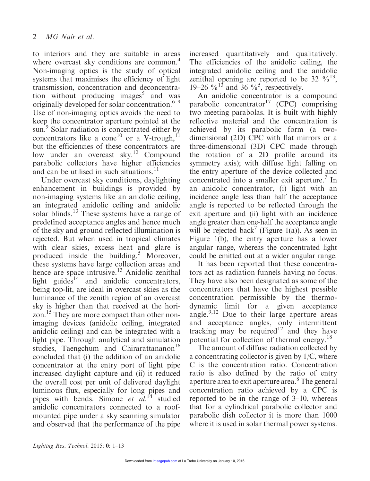to interiors and they are suitable in areas where overcast sky conditions are common.<sup>4</sup> Non-imaging optics is the study of optical systems that maximises the efficiency of light transmission, concentration and deconcentration without producing images<sup>5</sup> and was originally developed for solar concentration. $6-9$ Use of non-imaging optics avoids the need to keep the concentrator aperture pointed at the sun.<sup>9</sup> Solar radiation is concentrated either by concentrators like a cone<sup>10</sup> or a V-trough,<sup>11</sup> but the efficiencies of these concentrators are low under an overcast sky.<sup>12</sup> Compound parabolic collectors have higher efficiencies and can be utilised in such situations.<sup>11</sup>

Under overcast sky conditions, daylighting enhancement in buildings is provided by non-imaging systems like an anidolic ceiling, an integrated anidolic ceiling and anidolic solar blinds.<sup>13</sup> These systems have a range of predefined acceptance angles and hence much of the sky and ground reflected illumination is rejected. But when used in tropical climates with clear skies, excess heat and glare is produced inside the building.<sup>5</sup> Moreover, these systems have large collection areas and hence are space intrusive.<sup>13</sup> Anidolic zenithal light guides<sup>14</sup> and anidolic concentrators, being top-lit, are ideal in overcast skies as the luminance of the zenith region of an overcast sky is higher than that received at the horizon.<sup>15</sup> They are more compact than other nonimaging devices (anidolic ceiling, integrated anidolic ceiling) and can be integrated with a light pipe. Through analytical and simulation studies. Taengchum and Chirarattananon<sup>16</sup> concluded that (i) the addition of an anidolic concentrator at the entry port of light pipe increased daylight capture and (ii) it reduced the overall cost per unit of delivered daylight luminous flux, especially for long pipes and pipes with bends. Simone *et al.*<sup>14</sup> studied anidolic concentrators connected to a roofmounted pipe under a sky scanning simulator and observed that the performance of the pipe

increased quantitatively and qualitatively. The efficiencies of the anidolic ceiling, the integrated anidolic ceiling and the anidolic zenithal opening are reported to be 32  $\frac{9}{6}^{13}$ , 19–26  $\frac{6}{13}$  and 36 %<sup>5</sup>, respectively.

An anidolic concentrator is a compound parabolic concentrator<sup>17</sup> (CPC) comprising two meeting parabolas. It is built with highly reflective material and the concentration is achieved by its parabolic form (a twodimensional (2D) CPC with flat mirrors or a three-dimensional (3D) CPC made through the rotation of a 2D profile around its symmetry axis); with diffuse light falling on the entry aperture of the device collected and concentrated into a smaller exit aperture.<sup>7</sup> In an anidolic concentrator, (i) light with an incidence angle less than half the acceptance angle is reported to be reflected through the exit aperture and (ii) light with an incidence angle greater than one-half the acceptance angle will be rejected back<sup>7</sup> (Figure 1(a)). As seen in Figure 1(b), the entry aperture has a lower angular range, whereas the concentrated light could be emitted out at a wider angular range.

It has been reported that these concentrators act as radiation funnels having no focus. They have also been designated as some of the concentrators that have the highest possible concentration permissible by the thermodynamic limit for a given acceptance angle. $9,12$  Due to their large aperture areas and acceptance angles, only intermittent tracking may be required<sup>12</sup> and they have potential for collection of thermal energy.<sup>18</sup>

The amount of diffuse radiation collected by a concentrating collector is given by 1/C, where C is the concentration ratio. Concentration ratio is also defined by the ratio of entry aperture area to exit aperture area.<sup>8</sup> The general concentration ratio achieved by a CPC is reported to be in the range of 3–10, whereas that for a cylindrical parabolic collector and parabolic dish collector it is more than 1000 where it is used in solar thermal power systems.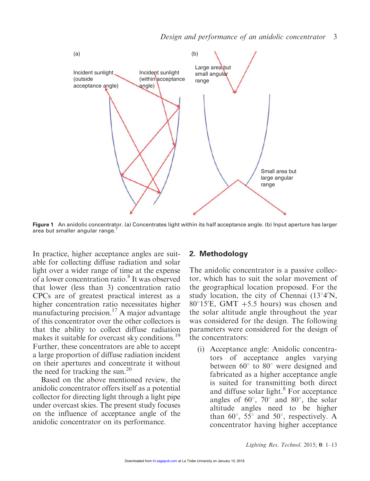

Figure 1 An anidolic concentrator. (a) Concentrates light within its half acceptance angle. (b) Input aperture has larger area but smaller angular range.<sup>7</sup>

In practice, higher acceptance angles are suitable for collecting diffuse radiation and solar light over a wider range of time at the expense of a lower concentration ratio.<sup>8</sup> It was observed that lower (less than 3) concentration ratio CPCs are of greatest practical interest as a higher concentration ratio necessitates higher manufacturing precision.<sup>17</sup> A major advantage of this concentrator over the other collectors is that the ability to collect diffuse radiation makes it suitable for overcast sky conditions.<sup>19</sup> Further, these concentrators are able to accept a large proportion of diffuse radiation incident on their apertures and concentrate it without the need for tracking the sun.<sup>20</sup>

Based on the above mentioned review, the anidolic concentrator offers itself as a potential collector for directing light through a light pipe under overcast skies. The present study focuses on the influence of acceptance angle of the anidolic concentrator on its performance.

#### 2. Methodology

The anidolic concentrator is a passive collector, which has to suit the solar movement of the geographical location proposed. For the study location, the city of Chennai  $(13°4'N,$ 80 $\degree$ 15'E, GMT +5.5 hours) was chosen and the solar altitude angle throughout the year was considered for the design. The following parameters were considered for the design of the concentrators:

(i) Acceptance angle: Anidolic concentrators of acceptance angles varying between  $60^{\circ}$  to  $80^{\circ}$  were designed and fabricated as a higher acceptance angle is suited for transmitting both direct and diffuse solar light.<sup>8</sup> For acceptance angles of  $60^\circ$ ,  $70^\circ$  and  $80^\circ$ , the solar altitude angles need to be higher than 60 $^{\circ}$ , 55 $^{\circ}$  and 50 $^{\circ}$ , respectively. A concentrator having higher acceptance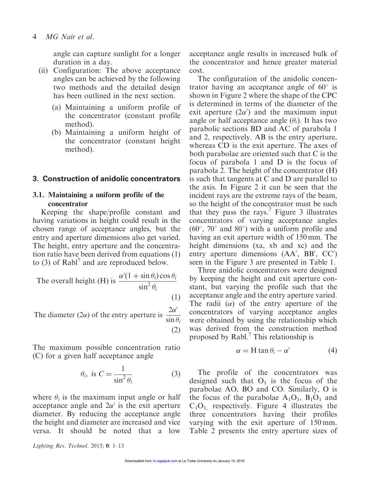angle can capture sunlight for a longer duration in a day.

- (ii) Configuration: The above acceptance angles can be achieved by the following two methods and the detailed design has been outlined in the next section.
	- (a) Maintaining a uniform profile of the concentrator (constant profile method).
	- (b) Maintaining a uniform height of the concentrator (constant height method).

### 3. Construction of anidolic concentrators

## 3.1. Maintaining a uniform profile of the concentrator

Keeping the shape/profile constant and having variations in height could result in the chosen range of acceptance angles, but the entry and aperture dimensions also get varied. The height, entry aperture and the concentration ratio have been derived from equations (1) to (3) of  $\text{Rab}$ <sup>7</sup> and are reproduced below.

The overall height (H) is 
$$
\frac{\alpha'(1 + \sin \theta_i) \cos \theta_i}{\sin^2 \theta_i}
$$
 (1)

The diameter (2 $\alpha$ ) of the entry aperture is  $\frac{2\alpha}{\alpha}$  $\overline{a}$  $\sin \theta_i$  $(2)$ 

The maximum possible concentration ratio (C) for a given half acceptance angle

$$
\theta_i, \text{ is } C = \frac{1}{\sin^2 \theta_i} \tag{3}
$$

where  $\theta_i$  is the maximum input angle or half acceptance angle and  $2\alpha'$  is the exit aperture diameter. By reducing the acceptance angle the height and diameter are increased and vice versa. It should be noted that a low

acceptance angle results in increased bulk of the concentrator and hence greater material cost.

The configuration of the anidolic concentrator having an acceptance angle of  $60^\circ$  is shown in Figure 2 where the shape of the CPC is determined in terms of the diameter of the exit aperture  $(2\alpha')$  and the maximum input angle or half acceptance angle  $(\theta_i)$ . It has two parabolic sections BD and AC of parabola 1 and 2, respectively. AB is the entry aperture, whereas CD is the exit aperture. The axes of both parabolae are oriented such that C is the focus of parabola 1 and D is the focus of parabola 2. The height of the concentrator (H) is such that tangents at C and D are parallel to the axis. In Figure 2 it can be seen that the incident rays are the extreme rays of the beam, so the height of the concentrator must be such that they pass the rays.<sup>7</sup> Figure 3 illustrates concentrators of varying acceptance angles  $(60^{\circ}, 70^{\circ}$  and  $80^{\circ})$  with a uniform profile and having an exit aperture width of 150 mm. The height dimensions (xa, xb and xc) and the entry aperture dimensions (AA', BB', CC') seen in the Figure 3 are presented in Table 1.

Three anidolic concentrators were designed by keeping the height and exit aperture constant, but varying the profile such that the acceptance angle and the entry aperture varied. The radii  $(\alpha)$  of the entry aperture of the concentrators of varying acceptance angles were obtained by using the relationship which was derived from the construction method proposed by Rabl.<sup>7</sup> This relationship is

$$
\alpha = H \tan \theta_i - \alpha' \tag{4}
$$

The profile of the concentrators was designed such that  $O<sub>1</sub>$  is the focus of the parabolae AO, BO and CO. Similarly, O is the focus of the parabolae  $A_1O_1$ ,  $B_1O_1$  and  $C_1O_1$  respectively. Figure 4 illustrates the three concentrators having their profiles varying with the exit aperture of 150 mm. Table 2 presents the entry aperture sizes of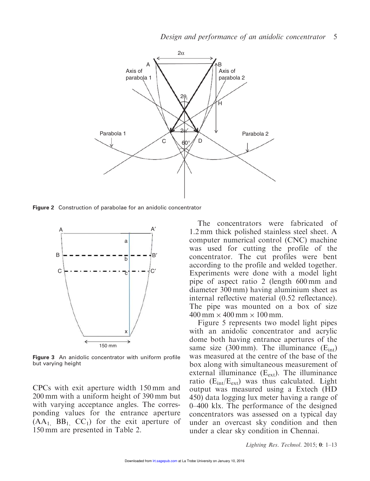

Figure 2 Construction of parabolae for an anidolic concentrator



Figure 3 An anidolic concentrator with uniform profile but varying height

CPCs with exit aperture width 150 mm and 200 mm with a uniform height of 390 mm but with varying acceptance angles. The corresponding values for the entrance aperture  $(AA_1, BB_1, CC_1)$  for the exit aperture of 150 mm are presented in Table 2.

The concentrators were fabricated of 1.2 mm thick polished stainless steel sheet. A computer numerical control (CNC) machine was used for cutting the profile of the concentrator. The cut profiles were bent according to the profile and welded together. Experiments were done with a model light pipe of aspect ratio 2 (length 600 mm and diameter 300 mm) having aluminium sheet as internal reflective material (0.52 reflectance). The pipe was mounted on a box of size  $400 \text{ mm} \times 400 \text{ mm} \times 100 \text{ mm}.$ 

Figure 5 represents two model light pipes with an anidolic concentrator and acrylic dome both having entrance apertures of the same size (300 mm). The illuminance  $(E_{int})$ was measured at the centre of the base of the box along with simultaneous measurement of external illuminance  $(E_{ext})$ . The illuminance ratio  $(E_{int}/E_{ext})$  was thus calculated. Light output was measured using a Extech (HD 450) data logging lux meter having a range of 0–400 klx. The performance of the designed concentrators was assessed on a typical day under an overcast sky condition and then under a clear sky condition in Chennai.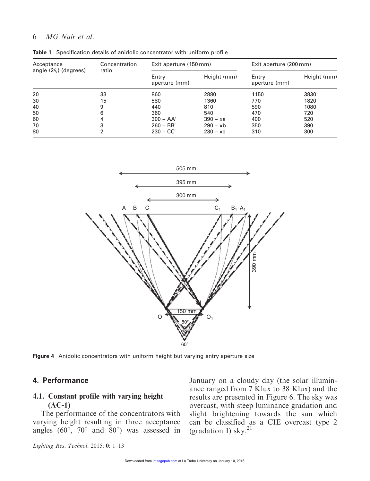#### 6 *MG Nair et al.*

| Acceptance<br>angle $(2\theta_i)$ (degrees) | Concentration<br>ratio | Exit aperture (150 mm) |             | Exit aperture (200 mm) |             |
|---------------------------------------------|------------------------|------------------------|-------------|------------------------|-------------|
|                                             |                        | Entry<br>aperture (mm) | Height (mm) | Entry<br>aperture (mm) | Height (mm) |
| 20                                          | 33                     | 860                    | 2880        | 1150                   | 3830        |
| 30                                          | 15                     | 580                    | 1360        | 770                    | 1820        |
| 40                                          | 9                      | 440                    | 810         | 590                    | 1080        |
| 50                                          | 6                      | 360                    | 540         | 470                    | 720         |
| 60                                          |                        | $300 - AA'$            | $390 - xa$  | 400                    | 520         |
| 70                                          | 3                      | $260 - BB'$            | $290 - xb$  | 350                    | 390         |
| 80                                          | ົ                      | $230 - CC'$            | $230 - xc$  | 310                    | 300         |

Table 1 Specification details of anidolic concentrator with uniform profile



Figure 4 Anidolic concentrators with uniform height but varying entry aperture size

#### 4. Performance

### 4.1. Constant profile with varying height (AC-1)

The performance of the concentrators with varying height resulting in three acceptance angles ( $60^\circ$ ,  $70^\circ$  and  $80^\circ$ ) was assessed in

January on a cloudy day (the solar illuminance ranged from 7 Klux to 38 Klux) and the results are presented in Figure 6. The sky was overcast, with steep luminance gradation and slight brightening towards the sun which can be classified as a CIE overcast type 2 (gradation I) sky. $21$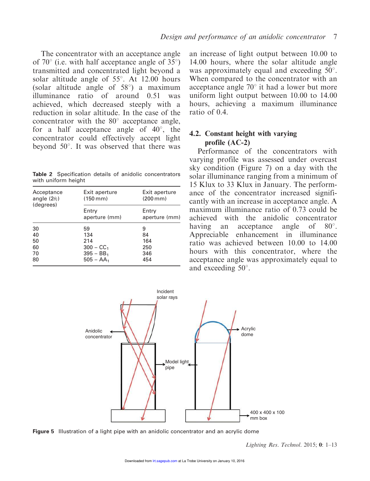The concentrator with an acceptance angle of  $70^{\circ}$  (i.e. with half acceptance angle of  $35^{\circ}$ ) transmitted and concentrated light beyond a solar altitude angle of  $55^\circ$ . At 12.00 hours (solar altitude angle of  $58^{\circ}$ ) a maximum illuminance ratio of around 0.51 was achieved, which decreased steeply with a reduction in solar altitude. In the case of the concentrator with the  $80^\circ$  acceptance angle, for a half acceptance angle of  $40^{\circ}$ , the concentrator could effectively accept light beyond  $50^\circ$ . It was observed that there was

Table 2 Specification details of anidolic concentrators with uniform height

| Acceptance<br>angle $(2\theta_i)$<br>(degrees) | Exit aperture<br>$(150 \, \text{mm})$ | Exit aperture<br>$(200 \, \text{mm})$ |  |
|------------------------------------------------|---------------------------------------|---------------------------------------|--|
|                                                | Entry<br>aperture (mm)                | Entry<br>aperture (mm)                |  |
| 30                                             | 59                                    | 9                                     |  |
| 40                                             | 134                                   | 84                                    |  |
| 50                                             | 214                                   | 164                                   |  |
| 60                                             | $300 - CC_1$                          | 250                                   |  |
| 70                                             | $395 - BB_1$                          | 346                                   |  |
| 80                                             | $505 - AA_1$                          | 454                                   |  |

an increase of light output between 10.00 to 14.00 hours, where the solar altitude angle was approximately equal and exceeding  $50^\circ$ . When compared to the concentrator with an acceptance angle  $70^{\circ}$  it had a lower but more uniform light output between 10.00 to 14.00 hours, achieving a maximum illuminance ratio of 0.4.

## 4.2. Constant height with varying profile (AC-2)

Performance of the concentrators with varying profile was assessed under overcast sky condition (Figure 7) on a day with the solar illuminance ranging from a minimum of 15 Klux to 33 Klux in January. The performance of the concentrator increased significantly with an increase in acceptance angle. A maximum illuminance ratio of 0.73 could be achieved with the anidolic concentrator having an acceptance angle of  $80^\circ$ . Appreciable enhancement in illuminance ratio was achieved between 10.00 to 14.00 hours with this concentrator, where the acceptance angle was approximately equal to and exceeding  $50^\circ$ .



Figure 5 Illustration of a light pipe with an anidolic concentrator and an acrylic dome

*Lighting Res. Technol.* 2015; 0: 1–13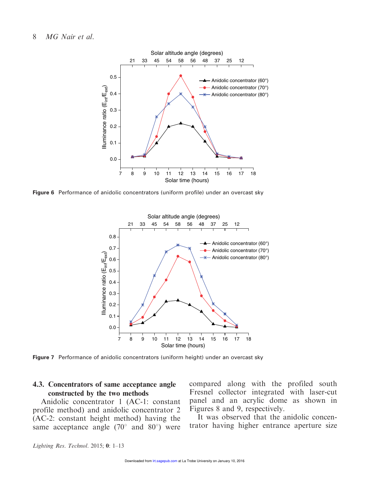#### 8 *MG Nair et al.*



Figure 6 Performance of anidolic concentrators (uniform profile) under an overcast sky



Figure 7 Performance of anidolic concentrators (uniform height) under an overcast sky

## 4.3. Concentrators of same acceptance angle constructed by the two methods

Anidolic concentrator 1 (AC-1: constant profile method) and anidolic concentrator 2 (AC-2: constant height method) having the same acceptance angle  $(70^{\circ}$  and  $80^{\circ})$  were compared along with the profiled south Fresnel collector integrated with laser-cut panel and an acrylic dome as shown in Figures 8 and 9, respectively.

It was observed that the anidolic concentrator having higher entrance aperture size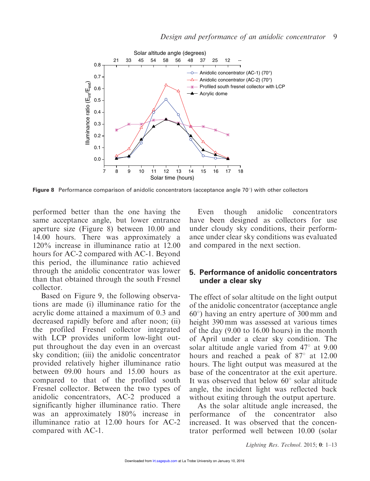

Figure 8 Performance comparison of anidolic concentrators (acceptance angle  $70^{\circ}$ ) with other collectors

performed better than the one having the same acceptance angle, but lower entrance aperture size (Figure 8) between 10.00 and 14.00 hours. There was approximately a 120% increase in illuminance ratio at 12.00 hours for AC-2 compared with AC-1. Beyond this period, the illuminance ratio achieved through the anidolic concentrator was lower than that obtained through the south Fresnel collector.

Based on Figure 9, the following observations are made (i) illuminance ratio for the acrylic dome attained a maximum of 0.3 and decreased rapidly before and after noon; (ii) the profiled Fresnel collector integrated with LCP provides uniform low-light output throughout the day even in an overcast sky condition; (iii) the anidolic concentrator provided relatively higher illuminance ratio between 09.00 hours and 15.00 hours as compared to that of the profiled south Fresnel collector. Between the two types of anidolic concentrators, AC-2 produced a significantly higher illuminance ratio. There was an approximately 180% increase in illuminance ratio at 12.00 hours for AC-2 compared with AC-1.

Even though anidolic concentrators have been designed as collectors for use under cloudy sky conditions, their performance under clear sky conditions was evaluated and compared in the next section.

### 5. Performance of anidolic concentrators under a clear sky

The effect of solar altitude on the light output of the anidolic concentrator (acceptance angle  $60^{\circ}$ ) having an entry aperture of 300 mm and height 390 mm was assessed at various times of the day (9.00 to 16.00 hours) in the month of April under a clear sky condition. The solar altitude angle varied from  $47^{\circ}$  at 9.00 hours and reached a peak of  $87^\circ$  at 12.00 hours. The light output was measured at the base of the concentrator at the exit aperture. It was observed that below  $60^{\circ}$  solar altitude angle, the incident light was reflected back without exiting through the output aperture.

As the solar altitude angle increased, the performance of the concentrator also increased. It was observed that the concentrator performed well between 10.00 (solar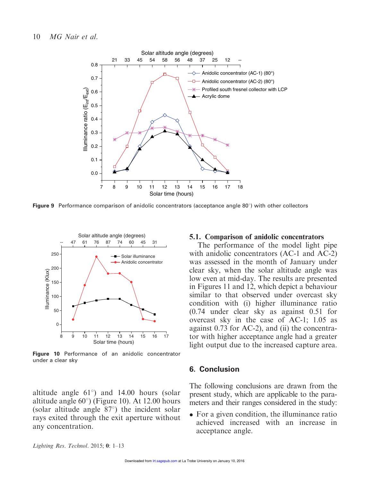

**Figure 9** Performance comparison of anidolic concentrators (acceptance angle 80 $^{\circ}$ ) with other collectors



Figure 10 Performance of an anidolic concentrator under a clear sky

altitude angle  $61^{\circ}$ ) and 14.00 hours (solar altitude angle  $60^{\circ}$ ) (Figure 10). At 12.00 hours (solar altitude angle  $87^\circ$ ) the incident solar rays exited through the exit aperture without any concentration.

#### 5.1. Comparison of anidolic concentrators

The performance of the model light pipe with anidolic concentrators (AC-1 and AC-2) was assessed in the month of January under clear sky, when the solar altitude angle was low even at mid-day. The results are presented in Figures 11 and 12, which depict a behaviour similar to that observed under overcast sky condition with (i) higher illuminance ratio (0.74 under clear sky as against 0.51 for overcast sky in the case of AC-1; 1.05 as against 0.73 for AC-2), and (ii) the concentrator with higher acceptance angle had a greater light output due to the increased capture area.

#### 6. Conclusion

The following conclusions are drawn from the present study, which are applicable to the parameters and their ranges considered in the study:

• For a given condition, the illuminance ratio achieved increased with an increase in acceptance angle.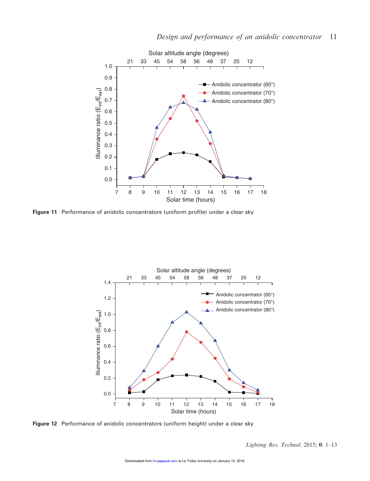

Figure 11 Performance of anidolic concentrators (uniform profile) under a clear sky



Figure 12 Performance of anidolic concentrators (uniform height) under a clear sky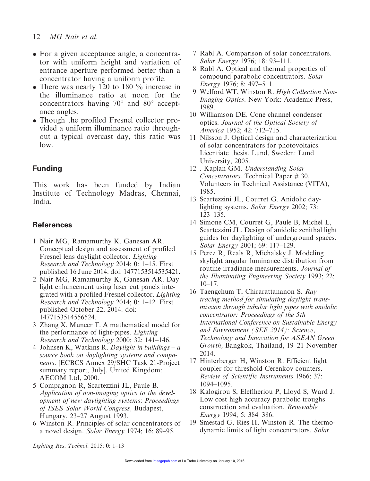- 12 *MG Nair et al.*
- For a given acceptance angle, a concentrator with uniform height and variation of entrance aperture performed better than a concentrator having a uniform profile.
- There was nearly 120 to 180 % increase in the illuminance ratio at noon for the concentrators having  $70^{\circ}$  and  $80^{\circ}$  acceptance angles.
- Though the profiled Fresnel collector provided a uniform illuminance ratio throughout a typical overcast day, this ratio was low.

## Funding

This work has been funded by Indian Institute of Technology Madras, Chennai, India.

## **References**

- 1 Nair MG, Ramamurthy K, Ganesan AR. Conceptual design and assessment of profiled Fresnel lens daylight collector. *Lighting Research and Technology* 2014; 0: 1–15. First published 16 June 2014. doi: 1477153514535421.
- 2 Nair MG, Ramamurthy K, Ganesan AR. Day light enhancement using laser cut panels integrated with a profiled Fresnel collector. *Lighting Research and Technology* 2014; 0: 1–12. First published October 22, 2014. doi: 1477153514556524.
- 3 Zhang X, Muneer T. A mathematical model for the performance of light-pipes. *Lighting Research and Technology* 2000; 32: 141–146.
- 4 Johnsen K, Watkins R. *Daylight in buildings a source book on daylighting systems and components.* [ECBCS Annex 29/SHC Task 21-Project summary report, July]. United Kingdom: AECOM Ltd, 2000.
- 5 Compagnon R, Scartezzini JL, Paule B. *Application of non-imaging optics to the development of new daylighting systems*: *Proceedings of ISES Solar World Congress,* Budapest, Hungary, 23–27 August 1993.
- 6 Winston R. Principles of solar concentrators of a novel design. *Solar Energy* 1974; 16: 89–95.
- 7 Rabl A. Comparison of solar concentrators. *Solar Energy* 1976; 18: 93–111.
- 8 Rabl A. Optical and thermal properties of compound parabolic concentrators. *Solar Energy* 1976; 8: 497–511.
- 9 Welford WT, Winston R. *High Collection Non-Imaging Optics*. New York: Academic Press, 1989.
- 10 Williamson DE. Cone channel condenser optics. *Journal of the Optical Society of America* 1952; 42: 712–715.
- 11 Nilsson J. Optical design and characterization of solar concentrators for photovoltaics. Licentiate thesis. Lund, Sweden: Lund University, 2005.
- 12 . Kaplan GM. *Understanding Solar Concentrators*. Technical Paper # 30, Volunteers in Technical Assistance (VITA), 1985.
- 13 Scartezzini JL, Courret G. Anidolic daylighting systems. *Solar Energy* 2002; 73: 123–135.
- 14 Simone CM, Courret G, Paule B, Michel L, Scartezzini JL. Design of anidolic zenithal light guides for daylighting of underground spaces. *Solar Energy* 2001; 69: 117–129.
- 15 Perez R, Reals R, Michalsky J. Modeling skylight angular luminance distribution from routine irradiance measurements. *Journal of the Illuminating Engineering Society* 1993; 22:  $10-17$ .
- 16 Taengchum T, Chirarattananon S. *Ray tracing method for simulating daylight transmission through tubular light pipes with anidolic concentrator: Proceedings of the 5th International Conference on Sustainable Energy and Environment (SEE 2014): Science, Technology and Innovation for ASEAN Green Growth,* Bangkok, Thailand, 19–21 November 2014.
- 17 Hinterberger H, Winston R. Efficient light coupler for threshold Cerenkov counters. *Review of Scientific Instruments* 1966; 37: 1094–1095.
- 18 Kalogirou S, Eleflheriou P, Lloyd S, Ward J. Low cost high accuracy parabolic troughs construction and evaluation. *Renewable Energy* 1994; 5: 384–386.
- 19 Smestad G, Ries H, Winston R. The thermodynamic limits of light concentrators. *Solar*